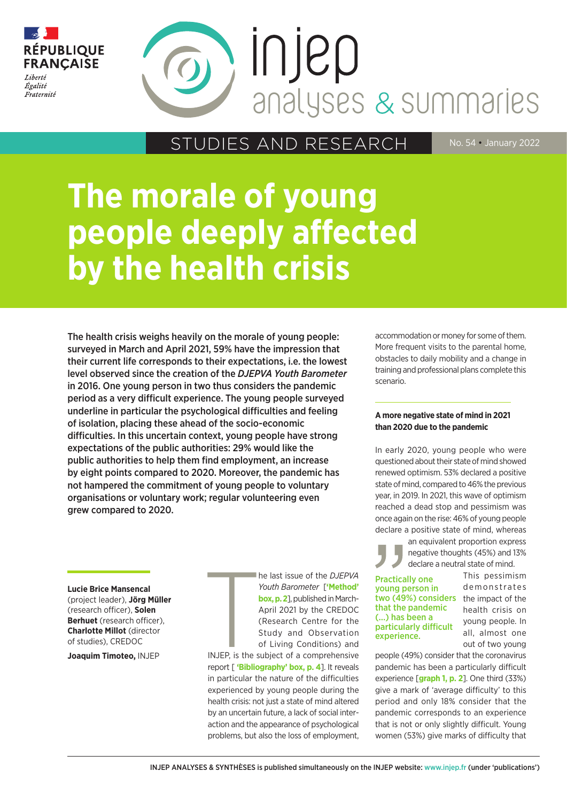

# INJED analyses & summaries

STUDIES AND RESEARCH No. 54 January 2022

## **The morale of young people deeply affected by the health crisis**

The health crisis weighs heavily on the morale of young people: surveyed in March and April 2021, 59% have the impression that their current life corresponds to their expectations, i.e. the lowest level observed since the creation of the *DJEPVA Youth Barometer* in 2016. One young person in two thus considers the pandemic period as a very difficult experience. The young people surveyed underline in particular the psychological difficulties and feeling of isolation, placing these ahead of the socio-economic difficulties. In this uncertain context, young people have strong expectations of the public authorities: 29% would like the public authorities to help them find employment, an increase by eight points compared to 2020. Moreover, the pandemic has not hampered the commitment of young people to voluntary organisations or voluntary work; regular volunteering even grew compared to 2020.

**Lucie Brice Mansencal**  (project leader), **Jörg Müller** (research officer), **Solen Berhuet** (research officer), **Charlotte Millot** (director of studies), CREDOC

**Joaquim Timoteo,** INJEP

he last issue of the *DJEPVA Youth Barometer* [**'Method' box, p. 2**], published in March-April 2021 by the CREDOC (Research Centre for the Study and Observation of Living Conditions) and

H INJEP, is the subject of a comprehensive report [ **'Bibliography' box, p. 4**]. It reveals in particular the nature of the difficulties experienced by young people during the health crisis: not just a state of mind altered by an uncertain future, a lack of social interaction and the appearance of psychological problems, but also the loss of employment,

accommodation or money for some of them. More frequent visits to the parental home, obstacles to daily mobility and a change in training and professional plans complete this scenario.

#### **A more negative state of mind in 2021 than 2020 due to the pandemic**

In early 2020, young people who were questioned about their state of mind showed renewed optimism. 53% declared a positive state of mind, compared to 46% the previous year, in 2019. In 2021, this wave of optimism reached a dead stop and pessimism was once again on the rise: 46% of young people declare a positive state of mind, whereas

> an equivalent proportion express negative thoughts (45%) and 13% declare a neutral state of mind.

#### two (49%) considers the impact of the Practically one young person in that the pandemic (...) has been a particularly difficult experience.

This pessimism d e m on strates health crisis on young people. In all, almost one out of two young

people (49%) consider that the coronavirus pandemic has been a particularly difficult experience [**graph 1, p. 2**]. One third (33%) give a mark of 'average difficulty' to this period and only 18% consider that the pandemic corresponds to an experience that is not or only slightly difficult. Young women (53%) give marks of difficulty that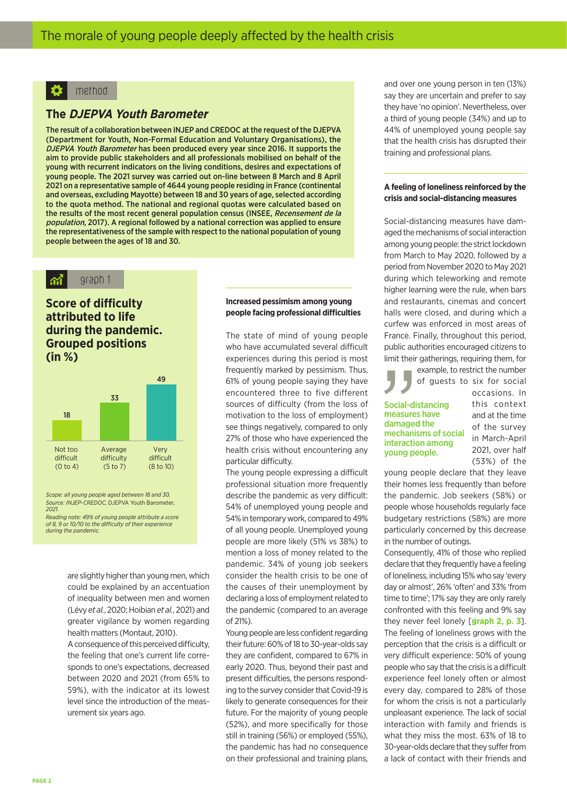#### method

#### **The DJEPVA Youth Barometer**

The result of a collaboration between INJEP and CREDOC at the request of the DJEPVA (Department for Youth, Non-Formal Education and Voluntary Organisations), the DJEPVA Youth Barometer has been produced every year since 2016. It supports the aim to provide public stakeholders and all professionals mobilised on behalf of the young with recurrent indicators on the living conditions, desires and expectations of young people. The 2021 survey was carried out on-line between 8 March and 8 April 2021 on a representative sample of 4644 young people residing in France (continental and overseas, excluding Mayotte) between 18 and 30 years of age, selected according to the quota method. The national and regional quotas were calculated based on the results of the most recent general population census (INSEE, Recensement de la population, 2017). A regional followed by a national correction was applied to ensure the representativeness of the sample with respect to the national population of young people between the ages of 18 and 30.

#### graph 1  $\mathbf{\hat{M}}$

**Score of difficulty attributed to life during the pandemic. Grouped positions (in %)**



*Scope: all young people aged between 18 and 30. Source: INJEP-CREDOC,* DJEPVA Youth Barometer*, 2021.* 

*Reading note: 49% of young people attribute a score of 8, 9 or 10/10 to the difficulty of their experience during the pandemic.*

> are slightly higher than young men, which could be explained by an accentuation of inequality between men and women (Lévy *et al.*, 2020; Hoibian *et al.*, 2021) and greater vigilance by women regarding health matters (Montaut, 2010).

> A consequence of this perceived difficulty, the feeling that one's current life corresponds to one's expectations, decreased between 2020 and 2021 (from 65% to 59%), with the indicator at its lowest level since the introduction of the measurement six years ago.

#### **Increased pessimism among young people facing professional difficulties**

The state of mind of young people who have accumulated several difficult experiences during this period is most frequently marked by pessimism. Thus, 61% of young people saying they have encountered three to five different sources of difficulty (from the loss of motivation to the loss of employment) see things negatively, compared to only 27% of those who have experienced the health crisis without encountering any particular difficulty.

The young people expressing a difficult professional situation more frequently describe the pandemic as very difficult: 54% of unemployed young people and 54% in temporary work, compared to 49% of all young people. Unemployed young people are more likely (51% vs 38%) to mention a loss of money related to the pandemic. 34% of young job seekers consider the health crisis to be one of the causes of their unemployment by declaring a loss of employment related to the pandemic (compared to an average of 21%).

Young people are less confident regarding their future: 60% of 18 to 30-year-olds say they are confident, compared to 67% in early 2020. Thus, beyond their past and present difficulties, the persons responding to the survey consider that Covid-19 is likely to generate consequences for their future. For the majority of young people (52%), and more specifically for those still in training (56%) or employed (55%), the pandemic has had no consequence on their professional and training plans,

and over one young person in ten (13%) say they are uncertain and prefer to say they have 'no opinion'. Nevertheless, over a third of young people (34%) and up to 44% of unemployed young people say that the health crisis has disrupted their training and professional plans.

#### **A feeling of loneliness reinforced by the crisis and social-distancing measures**

Social-distancing measures have damaged the mechanisms of social interaction among young people: the strict lockdown from March to May 2020, followed by a period from November 2020 to May 2021 during which teleworking and remote higher learning were the rule, when bars and restaurants, cinemas and concert halls were closed, and during which a curfew was enforced in most areas of France. Finally, throughout this period, public authorities encouraged citizens to limit their gatherings, requiring them, for

example, to restrict the number of guests to six for social

#### Social-distancing measures have damaged the mechanisms of social interaction among young people.

occasions. In this context and at the time of the survey in March-April 2021, over half (53%) of the

young people declare that they leave their homes less frequently than before the pandemic. Job seekers (58%) or people whose households regularly face budgetary restrictions (58%) are more particularly concerned by this decrease in the number of outings.

Consequently, 41% of those who replied declare that they frequently have a feeling of loneliness, including 15% who say 'every day or almost', 26% 'often' and 33% 'from time to time'; 17% say they are only rarely confronted with this feeling and 9% say they never feel lonely [**graph 2, p. 3**]. The feeling of loneliness grows with the perception that the crisis is a difficult or very difficult experience: 50% of young people who say that the crisis is a difficult experience feel lonely often or almost every day, compared to 28% of those for whom the crisis is not a particularly unpleasant experience. The lack of social interaction with family and friends is what they miss the most. 63% of 18 to 30-year-olds declare that they suffer from a lack of contact with their friends and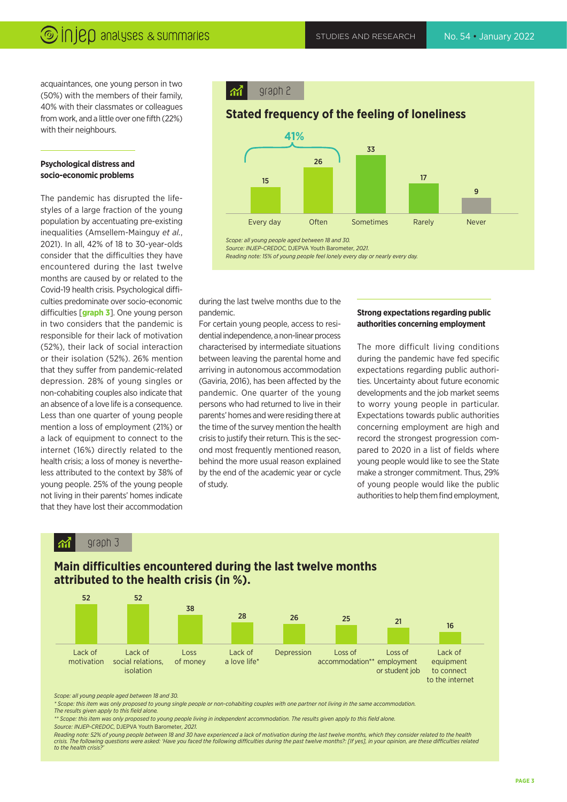acquaintances, one young person in two (50%) with the members of their family, 40% with their classmates or colleagues from work, and a little over one fifth (22%) with their neighbours.

#### **Psychological distress and socio-economic problems**

The pandemic has disrupted the lifestyles of a large fraction of the young population by accentuating pre-existing inequalities (Amsellem-Mainguy *et al.*, 2021). In all, 42% of 18 to 30-year-olds consider that the difficulties they have encountered during the last twelve months are caused by or related to the Covid-19 health crisis. Psychological difficulties predominate over socio-economic difficulties [**graph 3**]. One young person in two considers that the pandemic is responsible for their lack of motivation (52%), their lack of social interaction or their isolation (52%). 26% mention that they suffer from pandemic-related depression. 28% of young singles or non-cohabiting couples also indicate that an absence of a love life is a consequence. Less than one quarter of young people mention a loss of employment (21%) or a lack of equipment to connect to the internet (16%) directly related to the health crisis; a loss of money is nevertheless attributed to the context by 38% of young people. 25% of the young people not living in their parents' homes indicate that they have lost their accommodation

graph 2  $\mathcal{M}$ 

#### **Stated frequency of the feeling of loneliness**



*Scope: all young people aged between 18 and 30.*

*Source: INJEP-CREDOC,* DJEPVA Youth Barometer*, 2021.*

*Reading note: 15% of young people feel lonely every day or nearly every day.*

during the last twelve months due to the pandemic.

For certain young people, access to residential independence, a non-linear process characterised by intermediate situations between leaving the parental home and arriving in autonomous accommodation (Gaviria, 2016), has been affected by the pandemic. One quarter of the young persons who had returned to live in their parents' homes and were residing there at the time of the survey mention the health crisis to justify their return. This is the second most frequently mentioned reason, behind the more usual reason explained by the end of the academic year or cycle of study.

#### **Strong expectations regarding public authorities concerning employment**

The more difficult living conditions during the pandemic have fed specific expectations regarding public authorities. Uncertainty about future economic developments and the job market seems to worry young people in particular. Expectations towards public authorities concerning employment are high and record the strongest progression compared to 2020 in a list of fields where young people would like to see the State make a stronger commitment. Thus, 29% of young people would like the public authorities to help them find employment,

#### graph 3 ିଲୀ



### **Main difficulties encountered during the last twelve months**

*Scope: all young people aged between 18 and 30.*

*\* Scope: this item was only proposed to young single people or non-cohabiting couples with one partner not living in the same accommodation. The results given apply to this field alone.* 

*\*\* Scope: this item was only proposed to young people living in independent accommodation. The results given apply to this field alone. Source: INJEP-CREDOC,* DJEPVA Youth Barometer*, 2021.*

*Reading note: 52% of young people between 18 and 30 have experienced a lack of motivation during the last twelve months, which they consider related to the health crisis. The following questions were asked: 'Have you faced the following difficulties during the past twelve months?: [If yes], in your opinion, are these difficulties related to the health crisis?'*